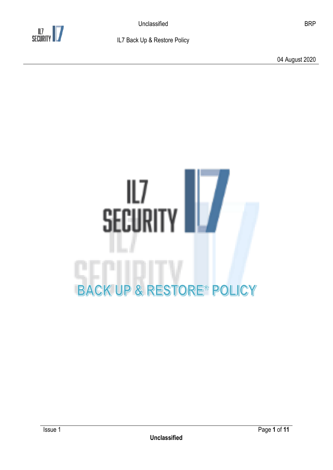

04 August 2020



**Unclassified**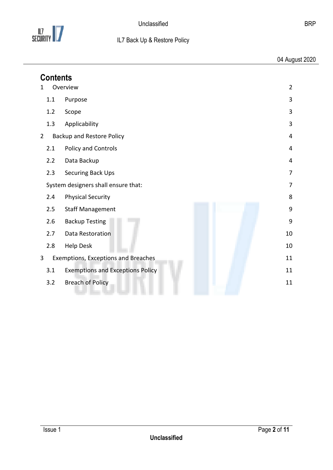

04 August 2020

<span id="page-1-0"></span>

| <b>Contents</b>                                             |                |
|-------------------------------------------------------------|----------------|
| Overview<br>1                                               | $\overline{2}$ |
| 1.1<br>Purpose                                              | 3              |
| 1.2<br>Scope                                                | 3              |
| 1.3<br>Applicability                                        | 3              |
| $2^{\circ}$<br><b>Backup and Restore Policy</b><br>4        |                |
| Policy and Controls<br>2.1                                  | 4              |
| 2.2<br>Data Backup                                          | 4              |
| 2.3<br>Securing Back Ups                                    | 7              |
| System designers shall ensure that:                         | 7              |
| <b>Physical Security</b><br>2.4                             | 8              |
| <b>Staff Management</b><br>2.5                              | 9              |
| 2.6<br><b>Backup Testing</b>                                | 9              |
| 2.7<br>Data Restoration                                     | 10             |
| 2.8<br><b>Help Desk</b>                                     | 10             |
| $\overline{3}$<br>Exemptions, Exceptions and Breaches<br>11 |                |
| <b>Exemptions and Exceptions Policy</b><br>3.1              | 11             |
| <b>Breach of Policy</b><br>3.2                              | 11             |
|                                                             |                |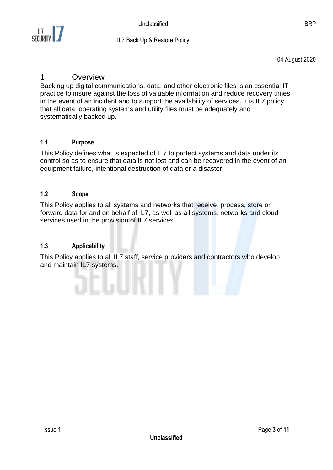

04 August 2020

### 1 Overview

Backing up digital communications, data, and other electronic files is an essential IT practice to insure against the loss of valuable information and reduce recovery times in the event of an incident and to support the availability of services. It is IL7 policy that all data, operating systems and utility files must be adequately and systematically backed up.

#### <span id="page-2-0"></span>**1.1 Purpose**

This Policy defines what is expected of IL7 to protect systems and data under its control so as to ensure that data is not lost and can be recovered in the event of an equipment failure, intentional destruction of data or a disaster.

#### <span id="page-2-1"></span>**1.2 Scope**

This Policy applies to all systems and networks that receive, process, store or forward data for and on behalf of IL7, as well as all systems, networks and cloud services used in the provision of IL7 services.

#### <span id="page-2-2"></span>**1.3 Applicability**

This Policy applies to all IL7 staff, service providers and contractors who develop and maintain IL7 systems.

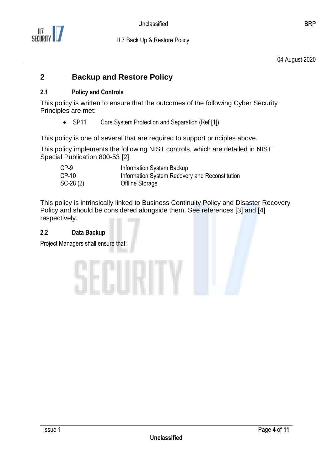

## <span id="page-3-0"></span>**2 Backup and Restore Policy**

### <span id="page-3-1"></span>**2.1 Policy and Controls**

This policy is written to ensure that the outcomes of the following Cyber Security Principles are met:

• SP11 Core System Protection and Separation (Ref [1])

This policy is one of several that are required to support principles above.

This policy implements the following NIST controls, which are detailed in NIST Special Publication 800-53 [2]:

| $CP-9$     | Information System Backup                      |
|------------|------------------------------------------------|
| CP-10      | Information System Recovery and Reconstitution |
| $SC-28(2)$ | Offline Storage                                |

This policy is intrinsically linked to Business Continuity Policy and Disaster Recovery Policy and should be considered alongside them. See references [3] and [4] respectively.

### <span id="page-3-2"></span>**2.2 Data Backup**

Project Managers shall ensure that:

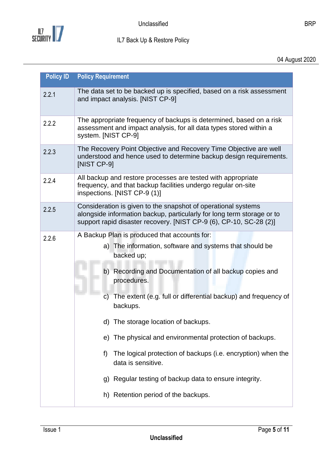

04 August 2020

| 2.2.1<br>2.2.2<br>2.2.3<br>2.2.4 | The data set to be backed up is specified, based on a risk assessment<br>and impact analysis. [NIST CP-9]<br>The appropriate frequency of backups is determined, based on a risk<br>assessment and impact analysis, for all data types stored within a<br>system. [NIST CP-9]<br>The Recovery Point Objective and Recovery Time Objective are well<br>understood and hence used to determine backup design requirements.<br>[NIST CP-9]<br>All backup and restore processes are tested with appropriate<br>frequency, and that backup facilities undergo regular on-site<br>inspections. [NIST CP-9 (1)] |
|----------------------------------|----------------------------------------------------------------------------------------------------------------------------------------------------------------------------------------------------------------------------------------------------------------------------------------------------------------------------------------------------------------------------------------------------------------------------------------------------------------------------------------------------------------------------------------------------------------------------------------------------------|
|                                  |                                                                                                                                                                                                                                                                                                                                                                                                                                                                                                                                                                                                          |
|                                  |                                                                                                                                                                                                                                                                                                                                                                                                                                                                                                                                                                                                          |
|                                  |                                                                                                                                                                                                                                                                                                                                                                                                                                                                                                                                                                                                          |
|                                  |                                                                                                                                                                                                                                                                                                                                                                                                                                                                                                                                                                                                          |
| 2.2.5                            | Consideration is given to the snapshot of operational systems<br>alongside information backup, particularly for long term storage or to<br>support rapid disaster recovery. [NIST CP-9 (6), CP-10, SC-28 (2)]                                                                                                                                                                                                                                                                                                                                                                                            |
| 2.2.6                            | A Backup Plan is produced that accounts for:<br>a) The information, software and systems that should be<br>backed up;<br>b) Recording and Documentation of all backup copies and<br>procedures.<br>The extent (e.g. full or differential backup) and frequency of<br>C)<br>backups.<br>d) The storage location of backups.<br>The physical and environmental protection of backups.<br>e)<br>The logical protection of backups (i.e. encryption) when the<br>f)<br>data is sensitive.<br>Regular testing of backup data to ensure integrity.<br>g)<br>h) Retention period of the backups.                |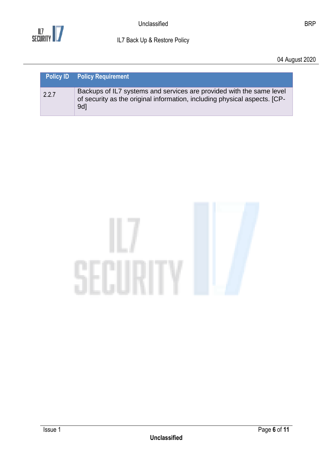

04 August 2020

|       | <b>Policy ID</b> Policy Requirement                                                                                                                                  |
|-------|----------------------------------------------------------------------------------------------------------------------------------------------------------------------|
| 2.2.7 | Backups of IL7 systems and services are provided with the same level<br>of security as the original information, including physical aspects. [CP-<br>9d <sub>1</sub> |

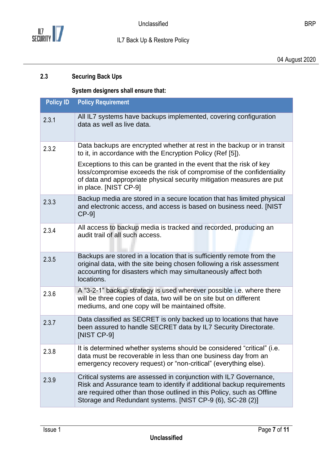

04 August 2020

### <span id="page-6-1"></span><span id="page-6-0"></span>**2.3 Securing Back Ups**

### **System designers shall ensure that:**

| <b>Policy ID</b> | <b>Policy Requirement</b>                                                                                                                                                                                                                                                         |
|------------------|-----------------------------------------------------------------------------------------------------------------------------------------------------------------------------------------------------------------------------------------------------------------------------------|
| 2.3.1            | All IL7 systems have backups implemented, covering configuration<br>data as well as live data.                                                                                                                                                                                    |
| 2.3.2            | Data backups are encrypted whether at rest in the backup or in transit<br>to it, in accordance with the Encryption Policy (Ref [5]).                                                                                                                                              |
|                  | Exceptions to this can be granted in the event that the risk of key<br>loss/compromise exceeds the risk of compromise of the confidentiality<br>of data and appropriate physical security mitigation measures are put<br>in place. [NIST CP-9]                                    |
| 2.3.3            | Backup media are stored in a secure location that has limited physical<br>and electronic access, and access is based on business need. [NIST<br>$CP-9$ ]                                                                                                                          |
| 2.3.4            | All access to backup media is tracked and recorded, producing an<br>audit trail of all such access.                                                                                                                                                                               |
| 2.3.5            | Backups are stored in a location that is sufficiently remote from the<br>original data, with the site being chosen following a risk assessment<br>accounting for disasters which may simultaneously affect both<br>locations.                                                     |
| 2.3.6            | A "3-2-1" backup strategy is used wherever possible i.e. where there<br>will be three copies of data, two will be on site but on different<br>mediums, and one copy will be maintained offsite.                                                                                   |
| 2.3.7            | Data classified as SECRET is only backed up to locations that have<br>been assured to handle SECRET data by IL7 Security Directorate.<br>[NIST CP-9]                                                                                                                              |
| 2.3.8            | It is determined whether systems should be considered "critical" (i.e.<br>data must be recoverable in less than one business day from an<br>emergency recovery request) or "non-critical" (everything else).                                                                      |
| 2.3.9            | Critical systems are assessed in conjunction with IL7 Governance,<br>Risk and Assurance team to identify if additional backup requirements<br>are required other than those outlined in this Policy, such as Offline<br>Storage and Redundant systems. [NIST CP-9 (6), SC-28 (2)] |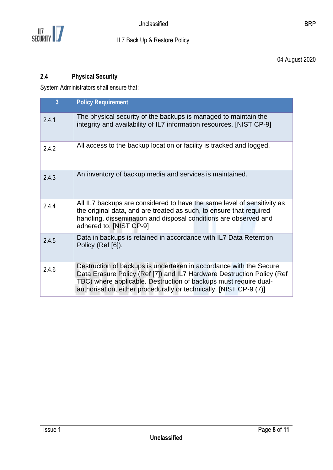

04 August 2020

### <span id="page-7-0"></span>**2.4 Physical Security**

System Administrators shall ensure that:

| $\overline{3}$ | <b>Policy Requirement</b>                                                                                                                                                                                                                                                              |
|----------------|----------------------------------------------------------------------------------------------------------------------------------------------------------------------------------------------------------------------------------------------------------------------------------------|
| 2.4.1          | The physical security of the backups is managed to maintain the<br>integrity and availability of IL7 information resources. [NIST CP-9]                                                                                                                                                |
| 2.4.2          | All access to the backup location or facility is tracked and logged.                                                                                                                                                                                                                   |
| 2.4.3          | An inventory of backup media and services is maintained.                                                                                                                                                                                                                               |
| 2.4.4          | All IL7 backups are considered to have the same level of sensitivity as<br>the original data, and are treated as such, to ensure that required<br>handling, dissemination and disposal conditions are observed and<br>adhered to. [NIST CP-9]                                          |
| 2.4.5          | Data in backups is retained in accordance with IL7 Data Retention<br>Policy (Ref [6]).                                                                                                                                                                                                 |
| 2.4.6          | Destruction of backups is undertaken in accordance with the Secure<br>Data Erasure Policy (Ref [7]) and IL7 Hardware Destruction Policy (Ref<br>TBC) where applicable. Destruction of backups must require dual-<br>authorisation, either procedurally or technically. [NIST CP-9 (7)] |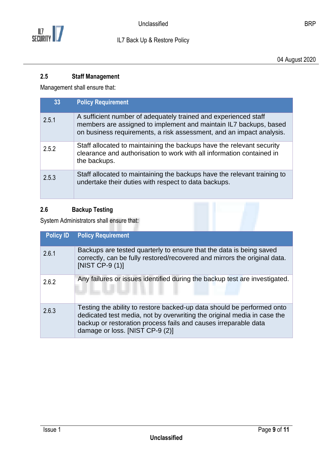

04 August 2020

### <span id="page-8-0"></span>**2.5 Staff Management**

Management shall ensure that:

| 33    | <b>Policy Requirement</b>                                                                                                                                                                                    |
|-------|--------------------------------------------------------------------------------------------------------------------------------------------------------------------------------------------------------------|
| 2.5.1 | A sufficient number of adequately trained and experienced staff<br>members are assigned to implement and maintain IL7 backups, based<br>on business requirements, a risk assessment, and an impact analysis. |
| 2.5.2 | Staff allocated to maintaining the backups have the relevant security<br>clearance and authorisation to work with all information contained in<br>the backups.                                               |
| 2.5.3 | Staff allocated to maintaining the backups have the relevant training to<br>undertake their duties with respect to data backups.                                                                             |

## <span id="page-8-1"></span>**2.6 Backup Testing**

System Administrators shall ensure that:

| <b>Policy ID</b> | <b>Policy Requirement</b>                                                                                                                                                                                                                               |
|------------------|---------------------------------------------------------------------------------------------------------------------------------------------------------------------------------------------------------------------------------------------------------|
| 2.6.1            | Backups are tested quarterly to ensure that the data is being saved<br>correctly, can be fully restored/recovered and mirrors the original data.<br>[NIST CP-9 $(1)$ ]                                                                                  |
| 2.6.2            | Any failures or issues identified during the backup test are investigated.                                                                                                                                                                              |
| 2.6.3            | Testing the ability to restore backed-up data should be performed onto<br>dedicated test media, not by overwriting the original media in case the<br>backup or restoration process fails and causes irreparable data<br>damage or loss. [NIST CP-9 (2)] |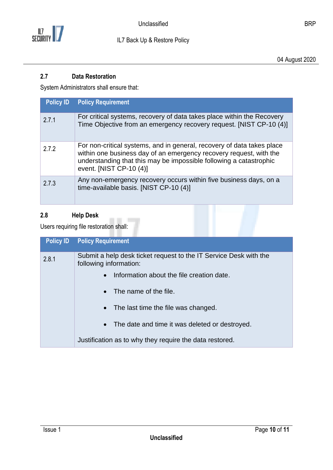

04 August 2020

#### <span id="page-9-0"></span>**2.7 Data Restoration**

System Administrators shall ensure that:

| <b>Policy ID</b> | <b>Policy Requirement</b>                                                                                                                                                                                                                     |
|------------------|-----------------------------------------------------------------------------------------------------------------------------------------------------------------------------------------------------------------------------------------------|
| 2.7.1            | For critical systems, recovery of data takes place within the Recovery<br>Time Objective from an emergency recovery request. [NIST CP-10 (4)]                                                                                                 |
| 2.7.2            | For non-critical systems, and in general, recovery of data takes place<br>within one business day of an emergency recovery request, with the<br>understanding that this may be impossible following a catastrophic<br>event. [NIST CP-10 (4)] |
| 2.7.3            | Any non-emergency recovery occurs within five business days, on a<br>time-available basis. [NIST CP-10 (4)]                                                                                                                                   |

## <span id="page-9-1"></span>**2.8 Help Desk**

Users requiring file restoration shall:

| <b>Policy ID</b> | <b>Policy Requirement</b>                                                                   |
|------------------|---------------------------------------------------------------------------------------------|
| 2.8.1            | Submit a help desk ticket request to the IT Service Desk with the<br>following information: |
|                  | Information about the file creation date.<br>$\bullet$                                      |
|                  | $\bullet$ The name of the file.                                                             |
|                  | • The last time the file was changed.                                                       |
|                  | • The date and time it was deleted or destroyed.                                            |
|                  | Justification as to why they require the data restored.                                     |